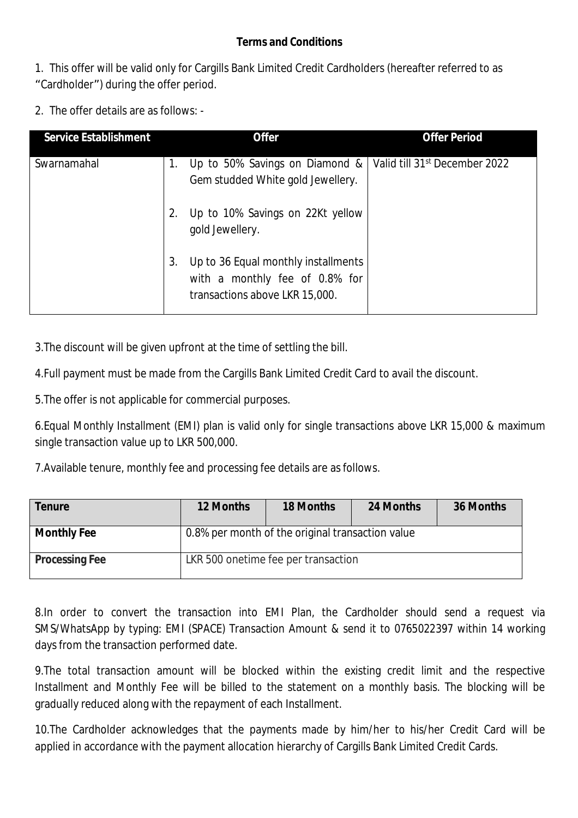## **Terms and Conditions**

1. This offer will be valid only for Cargills Bank Limited Credit Cardholders (hereafter referred to as "Cardholder") during the offer period.

2. The offer details are as follows: -

| <b>Service Establishment</b> |    | <b>Offer</b>                                                                                            | <b>Offer Period</b>                       |
|------------------------------|----|---------------------------------------------------------------------------------------------------------|-------------------------------------------|
| Swarnamahal                  | 1. | Up to 50% Savings on Diamond &<br>Gem studded White gold Jewellery.                                     | Valid till 31 <sup>st</sup> December 2022 |
|                              |    | Up to 10% Savings on 22Kt yellow<br>gold Jewellery.                                                     |                                           |
|                              | 3. | Up to 36 Equal monthly installments<br>with a monthly fee of 0.8% for<br>transactions above LKR 15,000. |                                           |

3.The discount will be given upfront at the time of settling the bill.

4.Full payment must be made from the Cargills Bank Limited Credit Card to avail the discount.

5.The offer is not applicable for commercial purposes.

6.Equal Monthly Installment (EMI) plan is valid only for single transactions above LKR 15,000 & maximum single transaction value up to LKR 500,000.

7.Available tenure, monthly fee and processing fee details are as follows.

| <b>Tenure</b>         | <b>12 Months</b>                                 | <b>18 Months</b>                    | 24 Months | 36 Months |  |
|-----------------------|--------------------------------------------------|-------------------------------------|-----------|-----------|--|
| <b>Monthly Fee</b>    | 0.8% per month of the original transaction value |                                     |           |           |  |
| <b>Processing Fee</b> |                                                  | LKR 500 onetime fee per transaction |           |           |  |

8.In order to convert the transaction into EMI Plan, the Cardholder should send a request via SMS/WhatsApp by typing: EMI (SPACE) Transaction Amount & send it to 0765022397 within 14 working days from the transaction performed date.

9.The total transaction amount will be blocked within the existing credit limit and the respective Installment and Monthly Fee will be billed to the statement on a monthly basis. The blocking will be gradually reduced along with the repayment of each Installment.

10.The Cardholder acknowledges that the payments made by him/her to his/her Credit Card will be applied in accordance with the payment allocation hierarchy of Cargills Bank Limited Credit Cards.